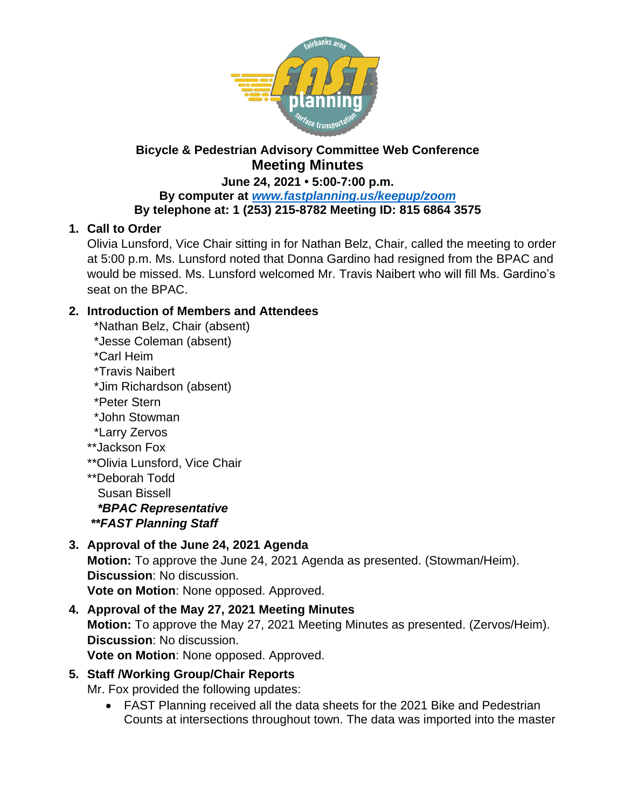

# **Bicycle & Pedestrian Advisory Committee Web Conference Meeting Minutes**

#### **June 24, 2021 • 5:00-7:00 p.m. By computer at** *[www.fastplanning.us/keepup/zoom](http://www.fastplanning.us/keepup/zoom)* **By telephone at: 1 (253) 215-8782 Meeting ID: 815 6864 3575**

## **1. Call to Order**

Olivia Lunsford, Vice Chair sitting in for Nathan Belz, Chair, called the meeting to order at 5:00 p.m. Ms. Lunsford noted that Donna Gardino had resigned from the BPAC and would be missed. Ms. Lunsford welcomed Mr. Travis Naibert who will fill Ms. Gardino's seat on the BPAC.

## **2. Introduction of Members and Attendees**

- \*Nathan Belz, Chair (absent)
- \*Jesse Coleman (absent)
- \*Carl Heim
- \*Travis Naibert
- \*Jim Richardson (absent)
- \*Peter Stern
- \*John Stowman
- \*Larry Zervos
- \*\*Jackson Fox
- \*\*Olivia Lunsford, Vice Chair
- \*\*Deborah Todd Susan Bissell  *\*BPAC Representative \*\*FAST Planning Staff*

# **3. Approval of the June 24, 2021 Agenda**

**Motion:** To approve the June 24, 2021 Agenda as presented. (Stowman/Heim). **Discussion**: No discussion. **Vote on Motion**: None opposed. Approved.

**4. Approval of the May 27, 2021 Meeting Minutes Motion:** To approve the May 27, 2021 Meeting Minutes as presented. (Zervos/Heim). **Discussion**: No discussion. **Vote on Motion**: None opposed. Approved.

## **5. Staff /Working Group/Chair Reports**

Mr. Fox provided the following updates:

 FAST Planning received all the data sheets for the 2021 Bike and Pedestrian Counts at intersections throughout town. The data was imported into the master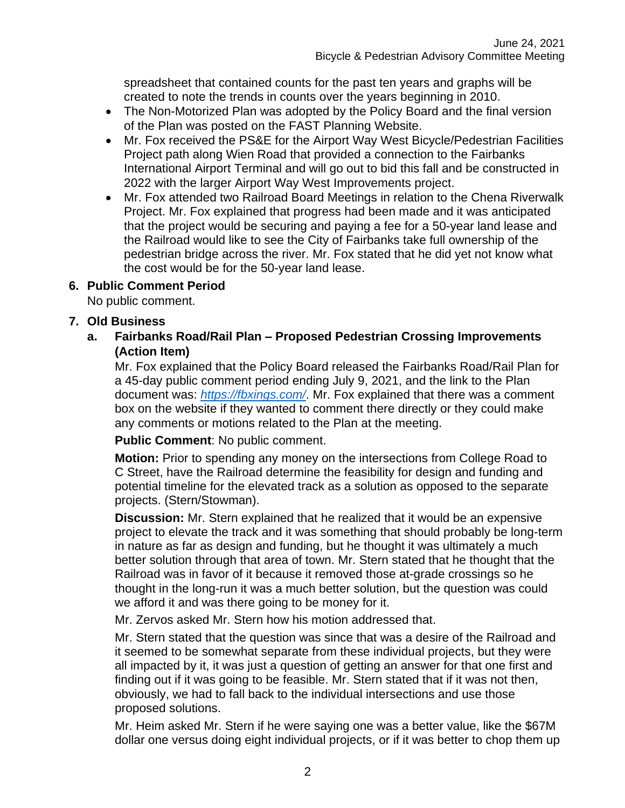spreadsheet that contained counts for the past ten years and graphs will be created to note the trends in counts over the years beginning in 2010.

- The Non-Motorized Plan was adopted by the Policy Board and the final version of the Plan was posted on the FAST Planning Website.
- Mr. Fox received the PS&E for the Airport Way West Bicycle/Pedestrian Facilities Project path along Wien Road that provided a connection to the Fairbanks International Airport Terminal and will go out to bid this fall and be constructed in 2022 with the larger Airport Way West Improvements project.
- Mr. Fox attended two Railroad Board Meetings in relation to the Chena Riverwalk Project. Mr. Fox explained that progress had been made and it was anticipated that the project would be securing and paying a fee for a 50-year land lease and the Railroad would like to see the City of Fairbanks take full ownership of the pedestrian bridge across the river. Mr. Fox stated that he did yet not know what the cost would be for the 50-year land lease.

## **6. Public Comment Period**

No public comment.

## **7. Old Business**

**a. Fairbanks Road/Rail Plan – Proposed Pedestrian Crossing Improvements (Action Item)**

Mr. Fox explained that the Policy Board released the Fairbanks Road/Rail Plan for a 45-day public comment period ending July 9, 2021, and the link to the Plan document was: *<https://fbxings.com/>*. Mr. Fox explained that there was a comment box on the website if they wanted to comment there directly or they could make any comments or motions related to the Plan at the meeting.

**Public Comment**: No public comment.

**Motion:** Prior to spending any money on the intersections from College Road to C Street, have the Railroad determine the feasibility for design and funding and potential timeline for the elevated track as a solution as opposed to the separate projects. (Stern/Stowman).

**Discussion:** Mr. Stern explained that he realized that it would be an expensive project to elevate the track and it was something that should probably be long-term in nature as far as design and funding, but he thought it was ultimately a much better solution through that area of town. Mr. Stern stated that he thought that the Railroad was in favor of it because it removed those at-grade crossings so he thought in the long-run it was a much better solution, but the question was could we afford it and was there going to be money for it.

Mr. Zervos asked Mr. Stern how his motion addressed that.

Mr. Stern stated that the question was since that was a desire of the Railroad and it seemed to be somewhat separate from these individual projects, but they were all impacted by it, it was just a question of getting an answer for that one first and finding out if it was going to be feasible. Mr. Stern stated that if it was not then, obviously, we had to fall back to the individual intersections and use those proposed solutions.

Mr. Heim asked Mr. Stern if he were saying one was a better value, like the \$67M dollar one versus doing eight individual projects, or if it was better to chop them up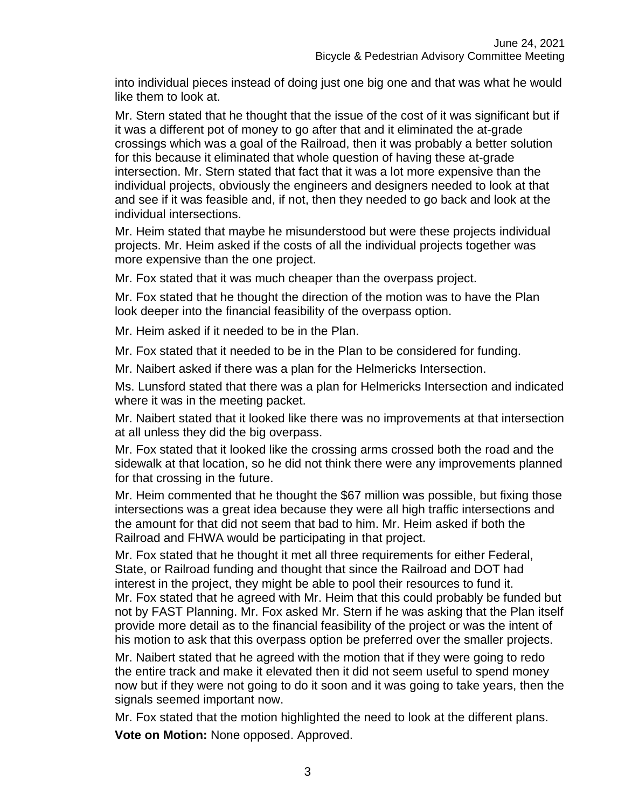into individual pieces instead of doing just one big one and that was what he would like them to look at.

Mr. Stern stated that he thought that the issue of the cost of it was significant but if it was a different pot of money to go after that and it eliminated the at-grade crossings which was a goal of the Railroad, then it was probably a better solution for this because it eliminated that whole question of having these at-grade intersection. Mr. Stern stated that fact that it was a lot more expensive than the individual projects, obviously the engineers and designers needed to look at that and see if it was feasible and, if not, then they needed to go back and look at the individual intersections.

Mr. Heim stated that maybe he misunderstood but were these projects individual projects. Mr. Heim asked if the costs of all the individual projects together was more expensive than the one project.

Mr. Fox stated that it was much cheaper than the overpass project.

Mr. Fox stated that he thought the direction of the motion was to have the Plan look deeper into the financial feasibility of the overpass option.

Mr. Heim asked if it needed to be in the Plan.

Mr. Fox stated that it needed to be in the Plan to be considered for funding.

Mr. Naibert asked if there was a plan for the Helmericks Intersection.

Ms. Lunsford stated that there was a plan for Helmericks Intersection and indicated where it was in the meeting packet.

Mr. Naibert stated that it looked like there was no improvements at that intersection at all unless they did the big overpass.

Mr. Fox stated that it looked like the crossing arms crossed both the road and the sidewalk at that location, so he did not think there were any improvements planned for that crossing in the future.

Mr. Heim commented that he thought the \$67 million was possible, but fixing those intersections was a great idea because they were all high traffic intersections and the amount for that did not seem that bad to him. Mr. Heim asked if both the Railroad and FHWA would be participating in that project.

Mr. Fox stated that he thought it met all three requirements for either Federal, State, or Railroad funding and thought that since the Railroad and DOT had interest in the project, they might be able to pool their resources to fund it. Mr. Fox stated that he agreed with Mr. Heim that this could probably be funded but not by FAST Planning. Mr. Fox asked Mr. Stern if he was asking that the Plan itself provide more detail as to the financial feasibility of the project or was the intent of his motion to ask that this overpass option be preferred over the smaller projects.

Mr. Naibert stated that he agreed with the motion that if they were going to redo the entire track and make it elevated then it did not seem useful to spend money now but if they were not going to do it soon and it was going to take years, then the signals seemed important now.

Mr. Fox stated that the motion highlighted the need to look at the different plans.

**Vote on Motion:** None opposed. Approved.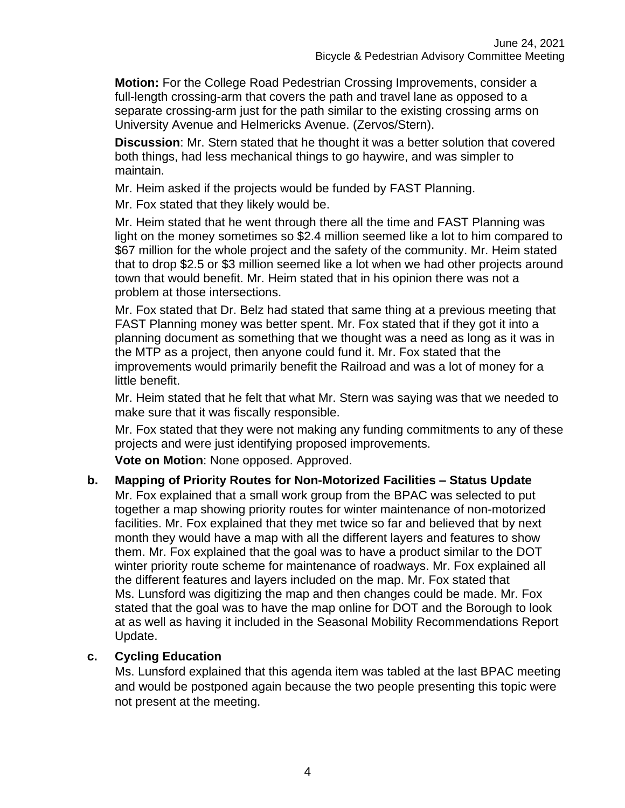**Motion:** For the College Road Pedestrian Crossing Improvements, consider a full-length crossing-arm that covers the path and travel lane as opposed to a separate crossing-arm just for the path similar to the existing crossing arms on University Avenue and Helmericks Avenue. (Zervos/Stern).

**Discussion**: Mr. Stern stated that he thought it was a better solution that covered both things, had less mechanical things to go haywire, and was simpler to maintain.

Mr. Heim asked if the projects would be funded by FAST Planning.

Mr. Fox stated that they likely would be.

Mr. Heim stated that he went through there all the time and FAST Planning was light on the money sometimes so \$2.4 million seemed like a lot to him compared to \$67 million for the whole project and the safety of the community. Mr. Heim stated that to drop \$2.5 or \$3 million seemed like a lot when we had other projects around town that would benefit. Mr. Heim stated that in his opinion there was not a problem at those intersections.

Mr. Fox stated that Dr. Belz had stated that same thing at a previous meeting that FAST Planning money was better spent. Mr. Fox stated that if they got it into a planning document as something that we thought was a need as long as it was in the MTP as a project, then anyone could fund it. Mr. Fox stated that the improvements would primarily benefit the Railroad and was a lot of money for a little benefit.

Mr. Heim stated that he felt that what Mr. Stern was saying was that we needed to make sure that it was fiscally responsible.

Mr. Fox stated that they were not making any funding commitments to any of these projects and were just identifying proposed improvements.

**Vote on Motion**: None opposed. Approved.

## **b. Mapping of Priority Routes for Non-Motorized Facilities – Status Update**

Mr. Fox explained that a small work group from the BPAC was selected to put together a map showing priority routes for winter maintenance of non-motorized facilities. Mr. Fox explained that they met twice so far and believed that by next month they would have a map with all the different layers and features to show them. Mr. Fox explained that the goal was to have a product similar to the DOT winter priority route scheme for maintenance of roadways. Mr. Fox explained all the different features and layers included on the map. Mr. Fox stated that Ms. Lunsford was digitizing the map and then changes could be made. Mr. Fox stated that the goal was to have the map online for DOT and the Borough to look at as well as having it included in the Seasonal Mobility Recommendations Report Update.

#### **c. Cycling Education**

Ms. Lunsford explained that this agenda item was tabled at the last BPAC meeting and would be postponed again because the two people presenting this topic were not present at the meeting.